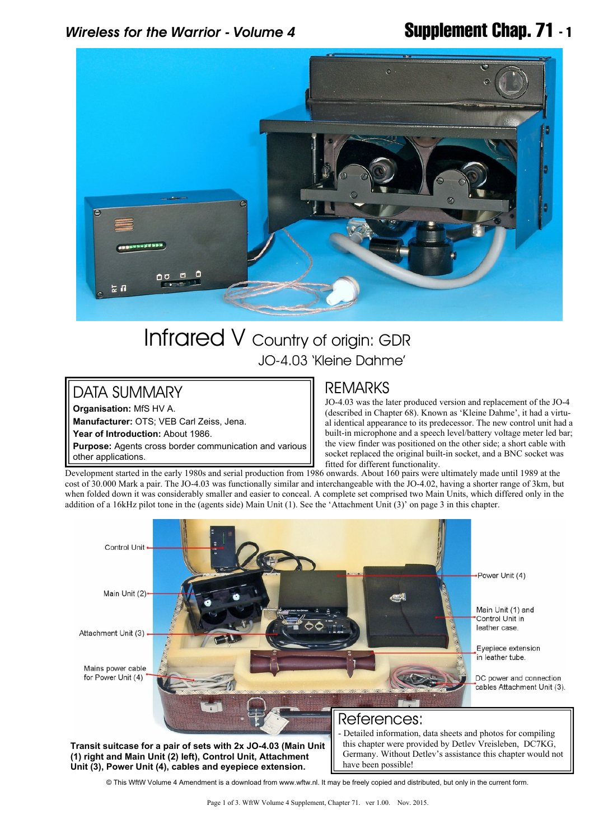## *Wireless for the Warrior - Volume 4* **Supplement Chap. 71 - 1**



# Infrared V Country of origin: GDR JO-4.03 'Kleine Dahme'

### DATA SUMMARY

**Organisation:** MfS HV A.

**Manufacturer:** OTS; VEB Carl Zeiss, Jena.

**Year of Introduction:** About 1986.

**Purpose:** Agents cross border communication and various other applications.

### REMARKS

JO-4.03 was the later produced version and replacement of the JO-4 (described in Chapter 68). Known as 'Kleine Dahme', it had a virtual identical appearance to its predecessor. The new control unit had a built-in microphone and a speech level/battery voltage meter led bar; the view finder was positioned on the other side; a short cable with socket replaced the original built-in socket, and a BNC socket was fitted for different functionality.

Development started in the early 1980s and serial production from 1986 onwards. About 160 pairs were ultimately made until 1989 at the cost of 30.000 Mark a pair. The JO-4.03 was functionally similar and interchangeable with the JO-4.02, having a shorter range of 3km, but when folded down it was considerably smaller and easier to conceal. A complete set comprised two Main Units, which differed only in the addition of a 16kHz pilot tone in the (agents side) Main Unit (1). See the 'Attachment Unit (3)' on page 3 in this chapter.



© This WftW Volume 4 Amendment is a download from www.wftw.nl. It may be freely copied and distributed, but only in the current form.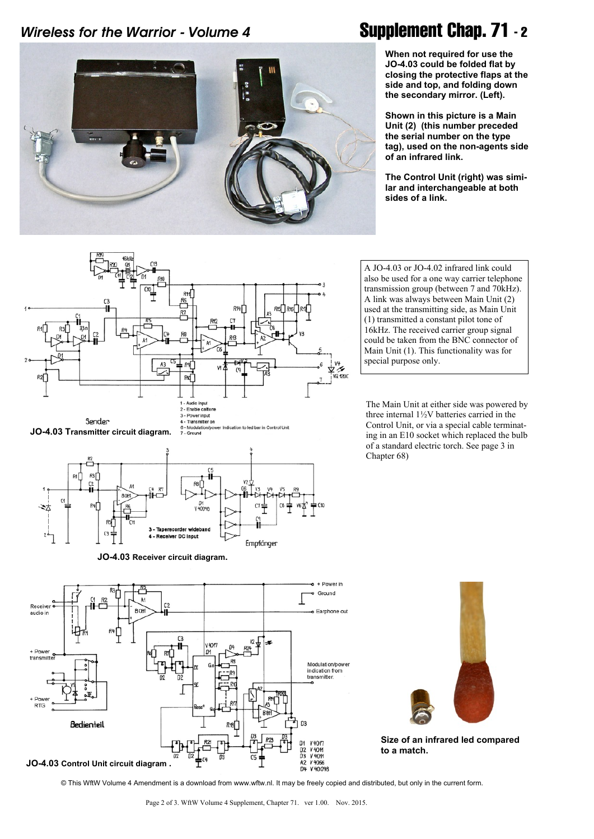### *Wireless for the Warrior - Volume 4* **Supplement Chap. 71 - 2**



**When not required for use the JO-4.03 could be folded flat by closing the protective flaps at the side and top, and folding down the secondary mirror. (Left).**

**Shown in this picture is a Main Unit (2) (this number preceded the serial number on the type tag), used on the non-agents side of an infrared link.**

**The Control Unit (right) was similar and interchangeable at both sides of a link.**





**JO-4.03 Receiver circuit diagram.**

also be used for a one way carrier telephone transmission group (between 7 and 70kHz). A link was always between Main Unit (2) used at the transmitting side, as Main Unit (1) transmitted a constant pilot tone of 16kHz. The received carrier group signal could be taken from the BNC connector of Main Unit (1). This functionality was for special purpose only.

A JO-4.03 or JO-4.02 infrared link could

The Main Unit at either side was powered by three internal 1½V batteries carried in the Control Unit, or via a special cable terminating in an E10 socket which replaced the bulb of a standard electric torch. See page 3 in Chapter 68)



© This WftW Volume 4 Amendment is a download from www.wftw.nl. It may be freely copied and distributed, but only in the current form.